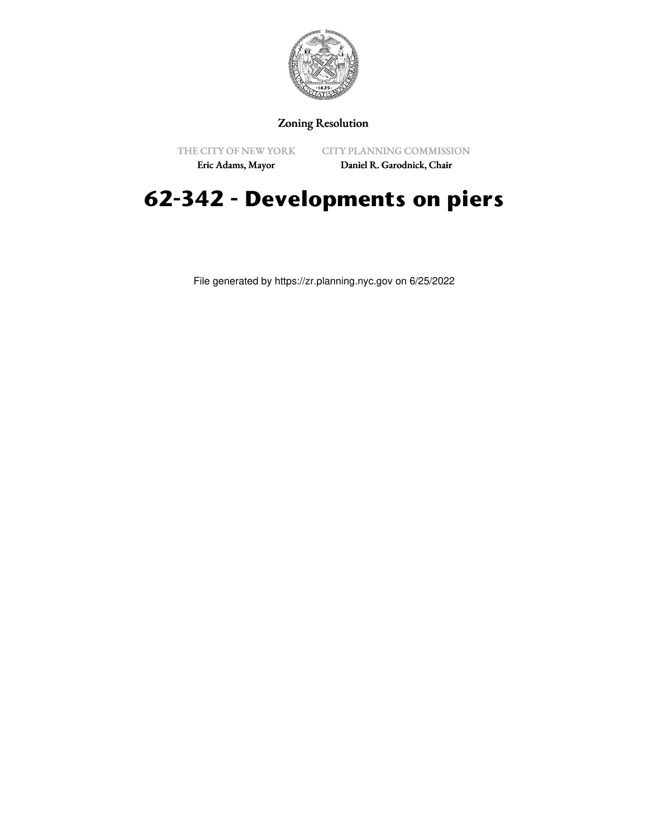

## Zoning Resolution

THE CITY OF NEW YORK

CITY PLANNING COMMISSION

Eric Adams, Mayor

Daniel R. Garodnick, Chair

## **62-342 - Developments on piers**

File generated by https://zr.planning.nyc.gov on 6/25/2022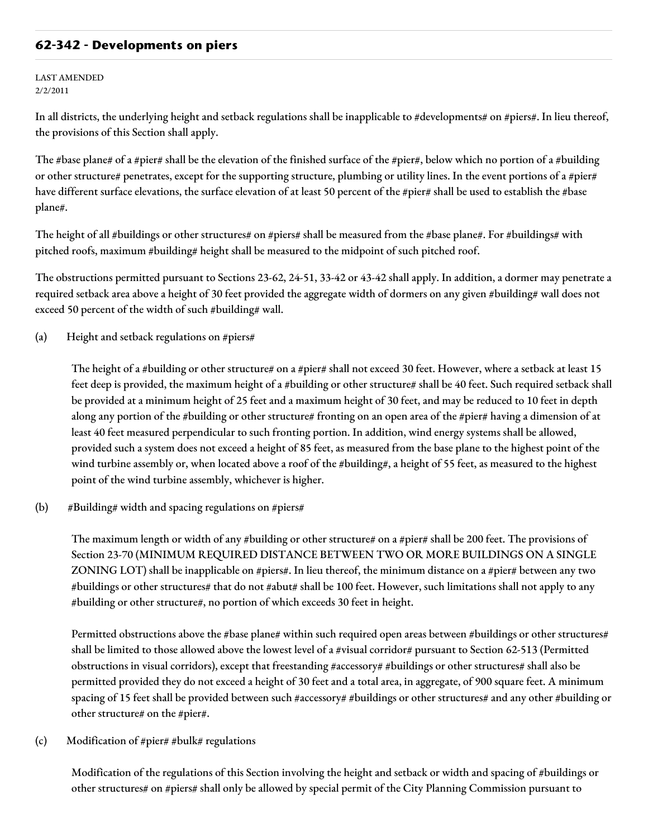## **62-342 - Developments on piers**

## LAST AMENDED 2/2/2011

In all districts, the underlying height and setback regulations shall be inapplicable to #developments# on #piers#. In lieu thereof, the provisions of this Section shall apply.

The #base plane# of a #pier# shall be the elevation of the finished surface of the #pier#, below which no portion of a #building or other structure# penetrates, except for the supporting structure, plumbing or utility lines. In the event portions of a #pier# have different surface elevations, the surface elevation of at least 50 percent of the #pier# shall be used to establish the #base plane#.

The height of all #buildings or other structures# on #piers# shall be measured from the #base plane#. For #buildings# with pitched roofs, maximum #building# height shall be measured to the midpoint of such pitched roof.

The obstructions permitted pursuant to Sections 23-62, 24-51, 33-42 or 43-42 shall apply. In addition, a dormer may penetrate a required setback area above a height of 30 feet provided the aggregate width of dormers on any given #building# wall does not exceed 50 percent of the width of such #building# wall.

(a) Height and setback regulations on #piers#

The height of a #building or other structure# on a #pier# shall not exceed 30 feet. However, where a setback at least 15 feet deep is provided, the maximum height of a #building or other structure# shall be 40 feet. Such required setback shall be provided at a minimum height of 25 feet and a maximum height of 30 feet, and may be reduced to 10 feet in depth along any portion of the #building or other structure# fronting on an open area of the #pier# having a dimension of at least 40 feet measured perpendicular to such fronting portion. In addition, wind energy systems shall be allowed, provided such a system does not exceed a height of 85 feet, as measured from the base plane to the highest point of the wind turbine assembly or, when located above a roof of the #building#, a height of 55 feet, as measured to the highest point of the wind turbine assembly, whichever is higher.

(b) #Building# width and spacing regulations on #piers#

The maximum length or width of any #building or other structure# on a #pier# shall be 200 feet. The provisions of Section 23-70 (MINIMUM REQUIRED DISTANCE BETWEEN TWO OR MORE BUILDINGS ON A SINGLE ZONING LOT) shall be inapplicable on #piers#. In lieu thereof, the minimum distance on a #pier# between any two #buildings or other structures# that do not #abut# shall be 100 feet. However, such limitations shall not apply to any #building or other structure#, no portion of which exceeds 30 feet in height.

Permitted obstructions above the #base plane# within such required open areas between #buildings or other structures# shall be limited to those allowed above the lowest level of a #visual corridor# pursuant to Section 62-513 (Permitted obstructions in visual corridors), except that freestanding #accessory# #buildings or other structures# shall also be permitted provided they do not exceed a height of 30 feet and a total area, in aggregate, of 900 square feet. A minimum spacing of 15 feet shall be provided between such #accessory# #buildings or other structures# and any other #building or other structure# on the #pier#.

(c) Modification of #pier# #bulk# regulations

Modification of the regulations of this Section involving the height and setback or width and spacing of #buildings or other structures# on #piers# shall only be allowed by special permit of the City Planning Commission pursuant to